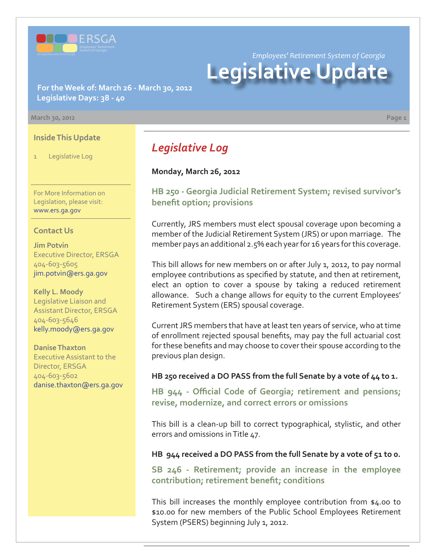

*Employees' Retirement System of Georgia* **Legislative Update**

**For the Week of: March 26 - March 30, 2012 Legislative Days: 38 - 40**

#### **March 30, 2012 Page 1**

#### **Inside This Update**

1 Legislative Log

For More Information on Legislation, please visit: www.ers.ga.gov

#### **Contact Us**

**Jim Potvin** Executive Director, ERSGA 404-603-5605 jim.potvin@ers.ga.gov

**Kelly L. Moody** Legislative Liaison and Assistant Director, ERSGA 404-603-5646 kelly.moody@ers.ga.gov

**Danise Thaxton** Executive Assistant to the Director, ERSGA 404-603-5602 danise.thaxton@ers.ga.gov

# *Legislative Log*

#### **Monday, March 26, 2012**

## **[HB 250 - Georgia Judicial Retirement System; revised survivor's](http://www.legis.ga.gov/legislation/en-US/Display/20112012/HB/250) benefit option; provisions**

Currently, JRS members must elect spousal coverage upon becoming a member of the Judicial Retirement System (JRS) or upon marriage. The member pays an additional 2.5% each year for 16 years for this coverage.

This bill allows for new members on or after July 1, 2012, to pay normal employee contributions as specified by statute, and then at retirement, elect an option to cover a spouse by taking a reduced retirement allowance. Such a change allows for equity to the current Employees' Retirement System (ERS) spousal coverage.

Current JRS members that have at least ten years of service, who at time of enrollment rejected spousal benefits, may pay the full actuarial cost for these benefits and may choose to cover their spouse according to the previous plan design.

#### **HB 250 received a DO PASS from the full Senate by a vote of 44 to 1.**

**HB 944 - Offi [cial Code of Georgia; retirement and pensions;](http://www.legis.ga.gov/legislation/en-US/Display/20112012/HB/944) revise, modernize, and correct errors or omissions**

This bill is a clean-up bill to correct typographical, stylistic, and other errors and omissions in Title 47.

#### **HB 944 received a DO PASS from the full Senate by a vote of 51 to 0.**

**[SB 246 - Retirement; provide an increase in the employee](http://www.legis.ga.gov/legislation/en-US/Display/20112012/SB/246)**  contribution; retirement benefit; conditions

This bill increases the monthly employee contribution from \$4.00 to \$10.00 for new members of the Public School Employees Retirement System (PSERS) beginning July 1, 2012.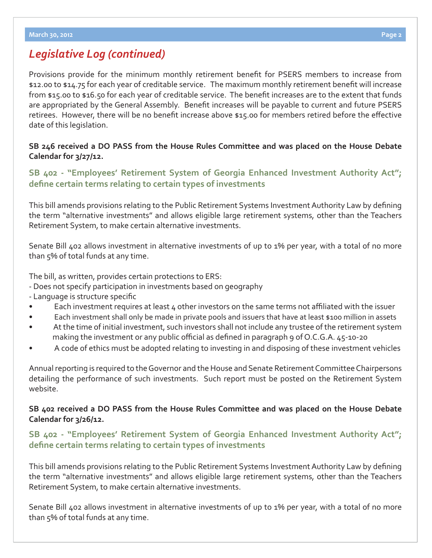Provisions provide for the minimum monthly retirement benefit for PSERS members to increase from \$12.00 to \$14.75 for each year of creditable service. The maximum monthly retirement benefit will increase from \$15.00 to \$16.50 for each year of creditable service. The benefit increases are to the extent that funds are appropriated by the General Assembly. Benefit increases will be payable to current and future PSERS retirees. However, there will be no benefit increase above \$15.00 for members retired before the effective date of this legislation.

## **SB 246 received a DO PASS from the House Rules Committee and was placed on the House Debate Calendar for 3/27/12.**

## **[SB 402 - "Employees' Retirement System of Georgia Enhanced Investment Authority Act";](http://www.legis.ga.gov/legislation/en-US/Display/20112012/SB/402)**  define certain terms relating to certain types of investments

This bill amends provisions relating to the Public Retirement Systems Investment Authority Law by defining the term "alternative investments" and allows eligible large retirement systems, other than the Teachers Retirement System, to make certain alternative investments.

Senate Bill 402 allows investment in alternative investments of up to 1% per year, with a total of no more than 5% of total funds at any time.

The bill, as written, provides certain protections to ERS:

- Does not specify participation in investments based on geography
- Language is structure specific
- Each investment requires at least 4 other investors on the same terms not affiliated with the issuer
- Each investment shall only be made in private pools and issuers that have at least \$100 million in assets
- At the time of initial investment, such investors shall not include any trustee of the retirement system making the investment or any public official as defined in paragraph  $9$  of O.C.G.A.  $45$ -10-20
- A code of ethics must be adopted relating to investing in and disposing of these investment vehicles

Annual reporting is required to the Governor and the House and Senate Retirement Committee Chairpersons detailing the performance of such investments. Such report must be posted on the Retirement System website.

## **SB 402 received a DO PASS from the House Rules Committee and was placed on the House Debate Calendar for 3/26/12.**

## **[SB 402 - "Employees' Retirement System of Georgia Enhanced Investment Authority Act";](http://www.legis.ga.gov/legislation/en-US/Display/20112012/SB/402)  defi ne certain terms relating to certain types of investments**

This bill amends provisions relating to the Public Retirement Systems Investment Authority Law by defining the term "alternative investments" and allows eligible large retirement systems, other than the Teachers Retirement System, to make certain alternative investments.

Senate Bill 402 allows investment in alternative investments of up to 1% per year, with a total of no more than 5% of total funds at any time.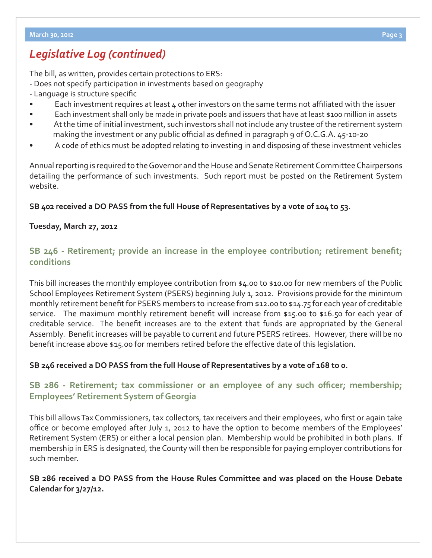The bill, as written, provides certain protections to ERS:

- Does not specify participation in investments based on geography
- Language is structure specific
- Each investment requires at least 4 other investors on the same terms not affiliated with the issuer
- Each investment shall only be made in private pools and issuers that have at least \$100 million in assets
- At the time of initial investment, such investors shall not include any trustee of the retirement system making the investment or any public official as defined in paragraph 9 of O.C.G.A. 45-10-20
- A code of ethics must be adopted relating to investing in and disposing of these investment vehicles

Annual reporting is required to the Governor and the House and Senate Retirement Committee Chairpersons detailing the performance of such investments. Such report must be posted on the Retirement System website.

## **SB 402 received a DO PASS from the full House of Representatives by a vote of 104 to 53.**

## **Tuesday, March 27, 2012**

# **SB 246 - Retirement; provide an increase in the employee contribution; retirement benefit; conditions**

This bill increases the monthly employee contribution from \$4.00 to \$10.00 for new members of the Public School Employees Retirement System (PSERS) beginning July 1, 2012. Provisions provide for the minimum monthly retirement benefit for PSERS members to increase from \$12.00 to \$14.75 for each year of creditable service. The maximum monthly retirement benefit will increase from \$15.00 to \$16.50 for each year of creditable service. The benefit increases are to the extent that funds are appropriated by the General Assembly. Benefit increases will be payable to current and future PSERS retirees. However, there will be no benefit increase above \$15.00 for members retired before the effective date of this legislation.

## **SB 246 received a DO PASS from the full House of Representatives by a vote of 168 to 0.**

# **[SB 286 - Retirement; tax commissioner or an employee of any such o](http://www.legis.ga.gov/legislation/en-US/Display/20112012/SB/286)fficer; membership; Employees' Retirement System of Georgia**

This bill allows Tax Commissioners, tax collectors, tax receivers and their employees, who first or again take office or become employed after July 1, 2012 to have the option to become members of the Employees' Retirement System (ERS) or either a local pension plan. Membership would be prohibited in both plans. If membership in ERS is designated, the County will then be responsible for paying employer contributions for such member.

## **SB 286 received a DO PASS from the House Rules Committee and was placed on the House Debate Calendar for 3/27/12.**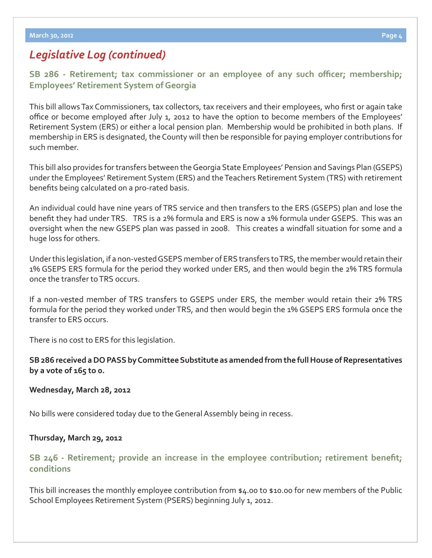**[SB 286 - Retirement; tax commissioner or an employee of any such o](http://www.legis.ga.gov/legislation/en-US/Display/20112012/SB/286)fficer; membership; Employees' Retirement System of Georgia**

This bill allows Tax Commissioners, tax collectors, tax receivers and their employees, who first or again take office or become employed after July 1, 2012 to have the option to become members of the Employees' Retirement System (ERS) or either a local pension plan. Membership would be prohibited in both plans. If membership in ERS is designated, the County will then be responsible for paying employer contributions for such member.

This bill also provides for transfers between the Georgia State Employees' Pension and Savings Plan (GSEPS) under the Employees' Retirement System (ERS) and the Teachers Retirement System (TRS) with retirement benefits being calculated on a pro-rated basis.

An individual could have nine years of TRS service and then transfers to the ERS (GSEPS) plan and lose the benefit they had under TRS. TRS is a 2% formula and ERS is now a 1% formula under GSEPS. This was an oversight when the new GSEPS plan was passed in 2008. This creates a windfall situation for some and a huge loss for others.

Under this legislation, if a non-vested GSEPS member of ERS transfers to TRS, the member would retain their 1% GSEPS ERS formula for the period they worked under ERS, and then would begin the 2% TRS formula once the transfer to TRS occurs.

If a non-vested member of TRS transfers to GSEPS under ERS, the member would retain their 2% TRS formula for the period they worked under TRS, and then would begin the 1% GSEPS ERS formula once the transfer to ERS occurs.

There is no cost to ERS for this legislation.

**SB 286 received a DO PASS by Committee Substitute as amended from the full House of Representatives by a vote of 165 to 0.**

### **Wednesday, March 28, 2012**

No bills were considered today due to the General Assembly being in recess.

### **Thursday, March 29, 2012**

## **SB 246 - Retirement; provide an increase in the employee contribution; retirement benefit; conditions**

This bill increases the monthly employee contribution from \$4.00 to \$10.00 for new members of the Public School Employees Retirement System (PSERS) beginning July 1, 2012.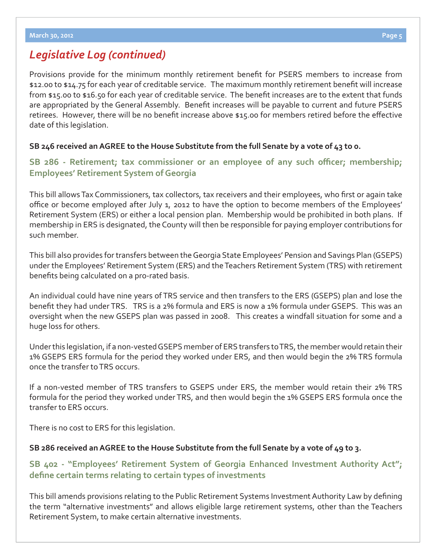Provisions provide for the minimum monthly retirement benefit for PSERS members to increase from \$12.00 to \$14.75 for each year of creditable service. The maximum monthly retirement benefit will increase from \$15.00 to \$16.50 for each year of creditable service. The benefit increases are to the extent that funds are appropriated by the General Assembly. Benefit increases will be payable to current and future PSERS retirees. However, there will be no benefit increase above \$15.00 for members retired before the effective date of this legislation.

## **SB 246 received an AGREE to the House Substitute from the full Senate by a vote of 43 to 0.**

**[SB 286 - Retirement; tax commissioner or an employee of any such o](http://www.legis.ga.gov/legislation/en-US/Display/20112012/SB/286)fficer; membership; Employees' Retirement System of Georgia**

This bill allows Tax Commissioners, tax collectors, tax receivers and their employees, who first or again take office or become employed after July 1, 2012 to have the option to become members of the Employees' Retirement System (ERS) or either a local pension plan. Membership would be prohibited in both plans. If membership in ERS is designated, the County will then be responsible for paying employer contributions for such member.

This bill also provides for transfers between the Georgia State Employees' Pension and Savings Plan (GSEPS) under the Employees' Retirement System (ERS) and the Teachers Retirement System (TRS) with retirement benefits being calculated on a pro-rated basis.

An individual could have nine years of TRS service and then transfers to the ERS (GSEPS) plan and lose the benefit they had under TRS. TRS is a 2% formula and ERS is now a 1% formula under GSEPS. This was an oversight when the new GSEPS plan was passed in 2008. This creates a windfall situation for some and a huge loss for others.

Under this legislation, if a non-vested GSEPS member of ERS transfers to TRS, the member would retain their 1% GSEPS ERS formula for the period they worked under ERS, and then would begin the 2% TRS formula once the transfer to TRS occurs.

If a non-vested member of TRS transfers to GSEPS under ERS, the member would retain their 2% TRS formula for the period they worked under TRS, and then would begin the 1% GSEPS ERS formula once the transfer to ERS occurs.

There is no cost to ERS for this legislation.

### **SB 286 received an AGREE to the House Substitute from the full Senate by a vote of 49 to 3.**

## **[SB 402 - "Employees' Retirement System of Georgia Enhanced Investment Authority Act";](http://www.legis.ga.gov/legislation/en-US/Display/20112012/SB/402) defi ne certain terms relating to certain types of investments**

This bill amends provisions relating to the Public Retirement Systems Investment Authority Law by defining the term "alternative investments" and allows eligible large retirement systems, other than the Teachers Retirement System, to make certain alternative investments.